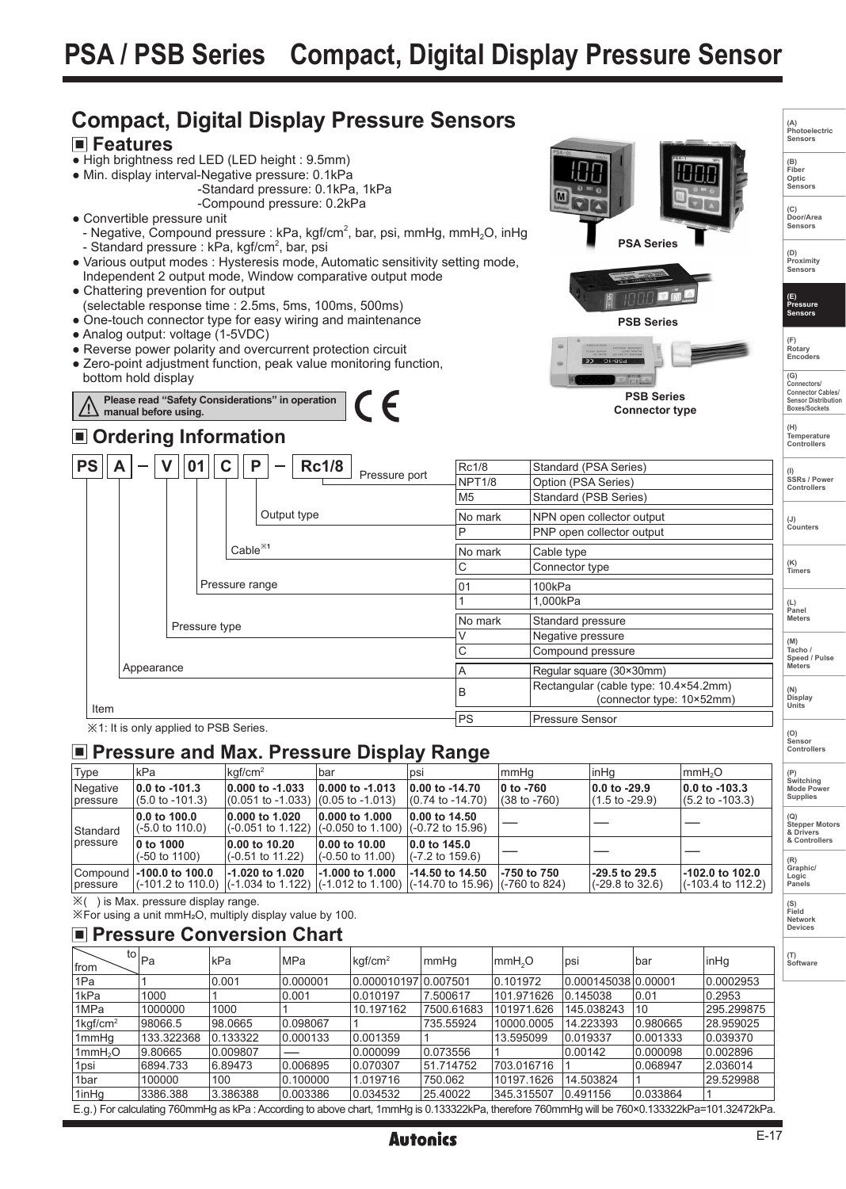

 $(-101.2 \text{ to } 110.0)$  $\overline{\mathbb{X}}$ ( ) is Max. pressure display range.

pressure

※For using a unit mmH₂O, multiply display value by 100.

 $(-1.034 \text{ to } 1.122)$ 

(-1.012 to 1.100)

#### **Pressure Conversion Chart**

| from                                                                                                                                          | to $\vert_\mathsf{Pa}$ | kPa      | <b>MPa</b> | $kq$ f/cm <sup>2</sup> | mmHq       | $\mathsf{ImmH}_{\scriptscriptstyle{0}}\mathsf{O}$ | psi                 | Ibar     | inHq       |
|-----------------------------------------------------------------------------------------------------------------------------------------------|------------------------|----------|------------|------------------------|------------|---------------------------------------------------|---------------------|----------|------------|
| 1Pa                                                                                                                                           |                        | 0.001    | 0.000001   | 0.00001019700.007501   |            | 0.101972                                          | 0.00014503810.00001 |          | 0.0002953  |
| 1kPa                                                                                                                                          | 1000                   |          | 0.001      | 0.010197               | 7.500617   | 101.971626                                        | 0.145038            | 0.01     | 0.2953     |
| 1MPa                                                                                                                                          | 1000000                | 1000     |            | 10.197162              | 7500.61683 | 101971.626                                        | 145.038243          | 10       | 295.299875 |
| $1$ kgf/cm <sup>2</sup>                                                                                                                       | 98066.5                | 98.0665  | 0.098067   |                        | 735.55924  | 10000.0005                                        | 14.223393           | 0.980665 | 28.959025  |
| l 1mmHa                                                                                                                                       | 133.322368             | 0.133322 | 0.000133   | 0.001359               |            | 13.595099                                         | 0.019337            | 0.001333 | 0.039370   |
| 1mmH <sub>2</sub> O                                                                                                                           | 9.80665                | 0.009807 |            | 0.000099               | 0.073556   |                                                   | 0.00142             | 0.000098 | 0.002896   |
| 1psi                                                                                                                                          | 6894.733               | 6.89473  | 0.006895   | 0.070307               | 51.714752  | 703.016716                                        |                     | 0.068947 | 2.036014   |
| 1bar                                                                                                                                          | 100000                 | 100      | 0.100000   | 1.019716               | 750.062    | 10197.1626                                        | 14.503824           |          | 29.529988  |
| 1inHg                                                                                                                                         | 3386.388               | 3.386388 | 0.003386   | 0.034532               | 25.40022   | 345.315507                                        | 0.491156            | 0.033864 |            |
| E.g.) For calculating 760mmHg as kPa: According to above chart, 1mmHg is 0.133322kPa, therefore 760mmHg will be 760×0.133322kPa=101.32472kPa. |                        |          |            |                        |            |                                                   |                     |          |            |

(-14.70 to 15.96)

(-760 to 824)

(-29.8 to 32.6)



**(S) Field Network Devices**

(-103.4 to 112.2)

**(T) Software**

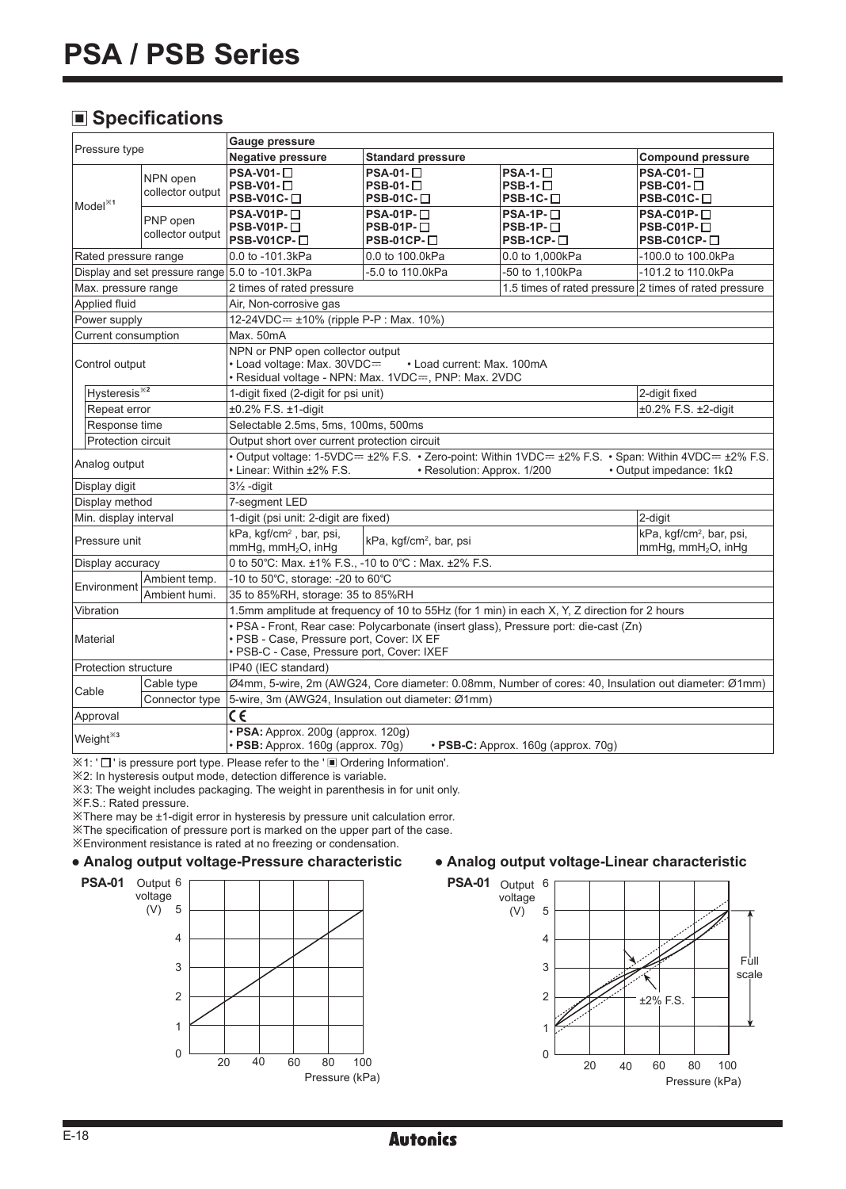### **Specifications**

|                                                 |                              | Gauge pressure                                                                                                                                                                              |                                               |                                                                        |                                                  |  |  |
|-------------------------------------------------|------------------------------|---------------------------------------------------------------------------------------------------------------------------------------------------------------------------------------------|-----------------------------------------------|------------------------------------------------------------------------|--------------------------------------------------|--|--|
| Pressure type                                   |                              | <b>Negative pressure</b>                                                                                                                                                                    | <b>Compound pressure</b>                      |                                                                        |                                                  |  |  |
| Model <sup>*1</sup>                             | NPN open<br>collector output | PSA-V01-□<br>PSB-V01-□<br>PSB-V01C-□                                                                                                                                                        | $PSA-01-$<br>$PSB-01-$<br>$PSB-01C-$          | $PSA-1-$<br>$PSB-1-$<br>$PSB-1C-$                                      | $PSA-C01-$<br>$PSB-C01-$<br>$PSB-C01C-$          |  |  |
|                                                 | PNP open<br>collector output | $PSA-V01P-$<br>$PSB-V01P-$<br>PSB-V01CP-□                                                                                                                                                   | $PSA-01P-$<br>$PSB-01P-$<br>$PSB-01CP - \Box$ | $PSA-1P-$<br>$PSB-1P-$<br>$PSB-1CP - \Box$                             | $PSA-C01P-$<br>$PSB-C01P-$<br>$PSB-C01CP - \Box$ |  |  |
| Rated pressure range                            |                              | 0.0 to -101.3kPa                                                                                                                                                                            | 0.0 to 100.0kPa                               | 0.0 to 1.000kPa                                                        | -100.0 to 100.0kPa                               |  |  |
| Display and set pressure range 5.0 to -101.3kPa |                              |                                                                                                                                                                                             | -5.0 to 110.0kPa                              | -50 to 1,100kPa                                                        | -101.2 to 110.0kPa                               |  |  |
| Max. pressure range                             |                              | 1.5 times of rated pressure 2 times of rated pressure<br>2 times of rated pressure                                                                                                          |                                               |                                                                        |                                                  |  |  |
| Applied fluid                                   |                              | Air, Non-corrosive gas                                                                                                                                                                      |                                               |                                                                        |                                                  |  |  |
| Power supply                                    |                              | 12-24VDC= ±10% (ripple P-P : Max. 10%)                                                                                                                                                      |                                               |                                                                        |                                                  |  |  |
| Current consumption                             |                              | Max. 50mA                                                                                                                                                                                   |                                               |                                                                        |                                                  |  |  |
| Control output                                  |                              | NPN or PNP open collector output<br>• Load voltage: Max. 30VDC=<br>• Load current: Max. 100mA<br>· Residual voltage - NPN: Max. 1VDC=, PNP: Max. 2VDC                                       |                                               |                                                                        |                                                  |  |  |
| Hysteresis <sup>32</sup>                        |                              | 1-digit fixed (2-digit for psi unit)                                                                                                                                                        | 2-digit fixed                                 |                                                                        |                                                  |  |  |
| Repeat error                                    |                              | ±0.2% F.S. ±1-digit                                                                                                                                                                         | ±0.2% F.S. ±2-digit                           |                                                                        |                                                  |  |  |
| Response time                                   |                              | Selectable 2.5ms, 5ms, 100ms, 500ms                                                                                                                                                         |                                               |                                                                        |                                                  |  |  |
| Protection circuit                              |                              | Output short over current protection circuit                                                                                                                                                |                                               |                                                                        |                                                  |  |  |
| Analog output                                   |                              | • Output voltage: 1-5VDC= ±2% F.S. • Zero-point: Within 1VDC= ±2% F.S. • Span: Within 4VDC= ±2% F.S.<br>• Linear: Within ±2% F.S.<br>• Resolution: Approx. 1/200<br>• Output impedance: 1kΩ |                                               |                                                                        |                                                  |  |  |
| Display digit                                   |                              | $3\frac{1}{2}$ -digit                                                                                                                                                                       |                                               |                                                                        |                                                  |  |  |
| Display method                                  |                              | 7-segment LED                                                                                                                                                                               |                                               |                                                                        |                                                  |  |  |
| Min. display interval                           |                              | 1-digit (psi unit: 2-digit are fixed)                                                                                                                                                       | 2-digit                                       |                                                                        |                                                  |  |  |
| Pressure unit                                   |                              | kPa, kgf/cm <sup>2</sup> , bar, psi,<br>mmHg, mmH <sub>2</sub> O, inHg                                                                                                                      | kPa, kgf/cm <sup>2</sup> , bar, psi           | kPa, kgf/cm <sup>2</sup> , bar, psi,<br>mmHg, mmH <sub>2</sub> O, inHq |                                                  |  |  |
| Display accuracy                                |                              | 0 to 50°C: Max. ±1% F.S., -10 to 0°C: Max. ±2% F.S.                                                                                                                                         |                                               |                                                                        |                                                  |  |  |
| Environment                                     | Ambient temp.                | -10 to 50°C, storage: -20 to 60°C                                                                                                                                                           |                                               |                                                                        |                                                  |  |  |
|                                                 | Ambient humi.                | 35 to 85%RH, storage: 35 to 85%RH                                                                                                                                                           |                                               |                                                                        |                                                  |  |  |
| Vibration                                       |                              | 1.5mm amplitude at frequency of 10 to 55Hz (for 1 min) in each X, Y, Z direction for 2 hours                                                                                                |                                               |                                                                        |                                                  |  |  |
| Material                                        |                              | · PSA - Front, Rear case: Polycarbonate (insert glass), Pressure port: die-cast (Zn)<br>· PSB - Case, Pressure port, Cover: IX EF<br>· PSB-C - Case, Pressure port, Cover: IXEF             |                                               |                                                                        |                                                  |  |  |
| <b>Protection structure</b>                     |                              | IP40 (IEC standard)                                                                                                                                                                         |                                               |                                                                        |                                                  |  |  |
| Cable                                           | Cable type                   | Ø4mm, 5-wire, 2m (AWG24, Core diameter: 0.08mm, Number of cores: 40, Insulation out diameter: Ø1mm)                                                                                         |                                               |                                                                        |                                                  |  |  |
|                                                 | Connector type               | 5-wire, 3m (AWG24, Insulation out diameter: Ø1mm)                                                                                                                                           |                                               |                                                                        |                                                  |  |  |
| Approval                                        |                              | C€                                                                                                                                                                                          |                                               |                                                                        |                                                  |  |  |
| Weight <sup>*3</sup>                            |                              | · PSA: Approx. 200g (approx. 120g)<br>• PSB: Approx. 160g (approx. 70g)                                                                                                                     |                                               | • PSB-C: Approx. 160g (approx. 70g)                                    |                                                  |  |  |

 $\mathbb{X}1: \square$  ' is pressure port type. Please refer to the ' $\blacksquare$  Ordering Information'.

※2: In hysteresis output mode, detection difference is variable.

※3: The weight includes packaging. The weight in parenthesis in for unit only.

※F.S.: Rated pressure.

※There may be ±1-digit error in hysteresis by pressure unit calculation error. ※The specification of pressure port is marked on the upper part of the case.

※Environment resistance is rated at no freezing or condensation.

#### **● Analog output voltage-Pressure characteristic ● Analog output voltage-Linear characteristic**



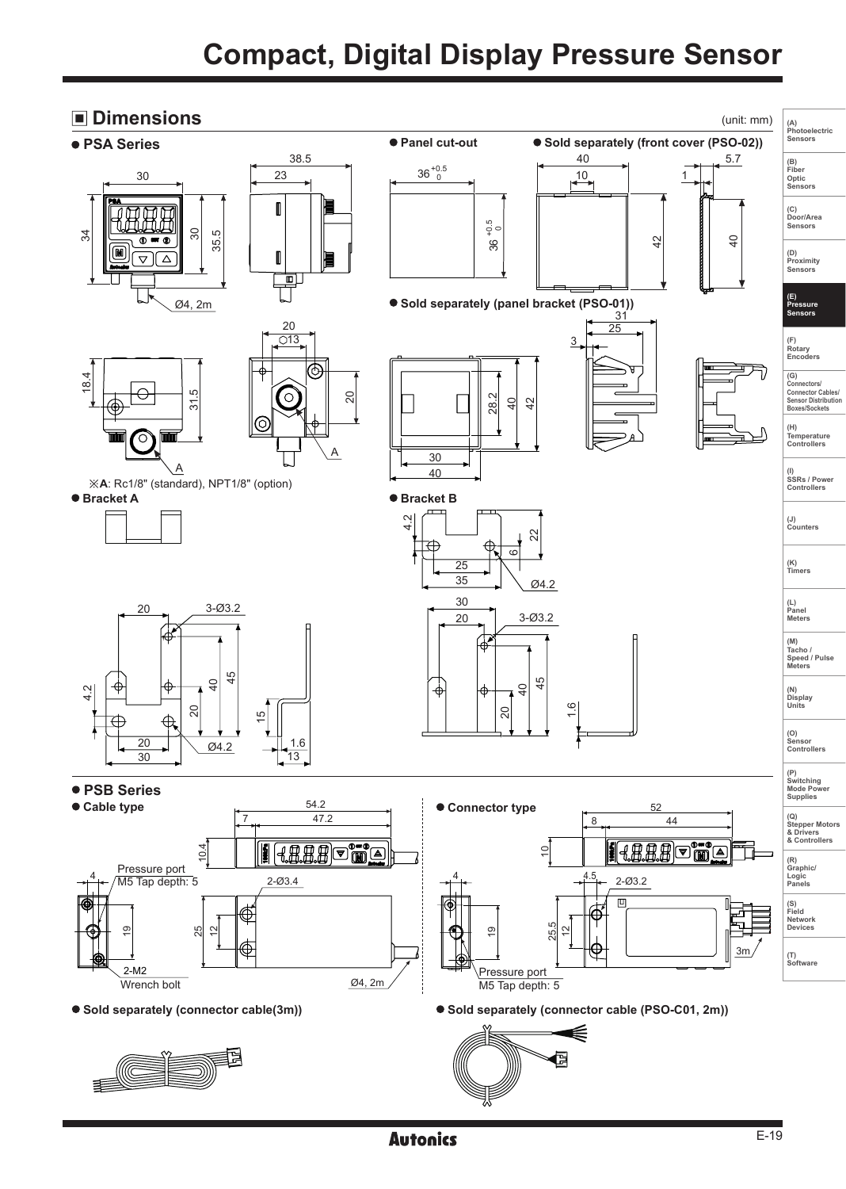# **Compact, Digital Display Pressure Sensor**

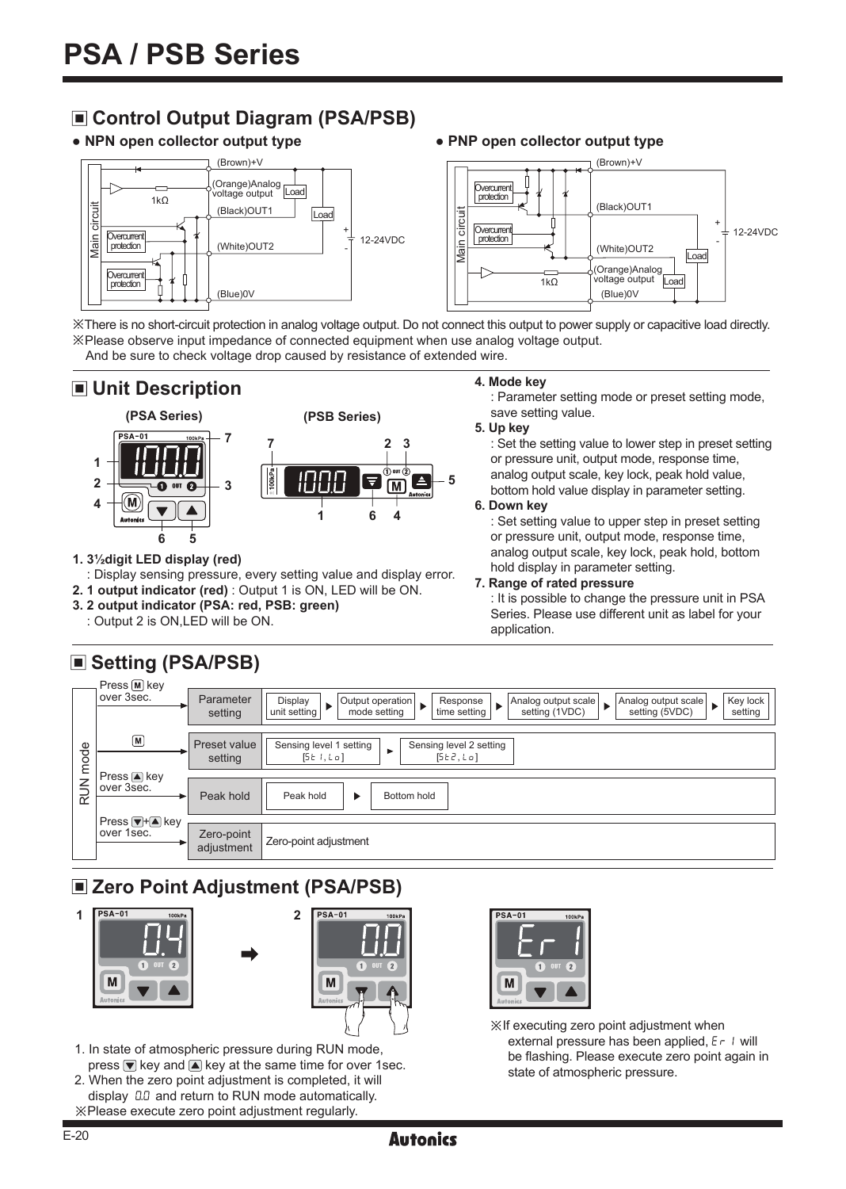### **Control Output Diagram (PSA/PSB)**

• NPN open collector output type **• PNP** open collector output type (Brown)+V (Brown)+V (Orange)Analog voltage output Load Overcurrent protection 1kΩ (Black)OUT1 (Black)OUT1 Load Main circuit circu + Overcurrent +  $\frac{d}{d\theta}$  Overcurrent<br>  $\frac{d}{d\theta}$ 12-24VDC protection (White)OUT2 die protection (White)OUT2 - Load (Orange)Analog Overcurrent voltage output Load 1kΩ protection (Blue)0V (Blue)0V

※There is no short-circuit protection in analog voltage output. Do not connect this output to power supply or capacitive load directly. ※Please observe input impedance of connected equipment when use analog voltage output. And be sure to check voltage drop caused by resistance of extended wire.

 **Unit Description**



#### **1. 3½digit LED display (red)**

: Display sensing pressure, every setting value and display error.

- **2. 1 output indicator (red)** : Output 1 is ON, LED will be ON.
- **3. 2 output indicator (PSA: red, PSB: green)** : Output 2 is ON,LED will be ON.

## **Setting (PSA/PSB)**

#### **4. Mode key**

: Parameter setting mode or preset setting mode, save setting value.

12-24VDC

-

#### **5. Up key**

Set the setting value to lower step in preset setting or pressure unit, output mode, response time, analog output scale, key lock, peak hold value, bottom hold value display in parameter setting.

#### **6. Down key**

: Set setting value to upper step in preset setting or pressure unit, output mode, response time, analog output scale, key lock, peak hold, bottom hold display in parameter setting.

#### **7. Range of rated pressure**

: It is possible to change the pressure unit in PSA Series. Please use different unit as label for your application.



### **Zero Point Adjustment (PSA/PSB)**





- 1. In state of atmospheric pressure during RUN mode, press  $\blacksquare$  key and  $\blacksquare$  key at the same time for over 1sec.
- 2. When the zero point adjustment is completed, it will display 0.0 and return to RUN mode automatically.
- ※Please execute zero point adjustment regularly.



※If executing zero point adjustment when external pressure has been applied,  $E \cap I$  will be flashing. Please execute zero point again in state of atmospheric pressure.

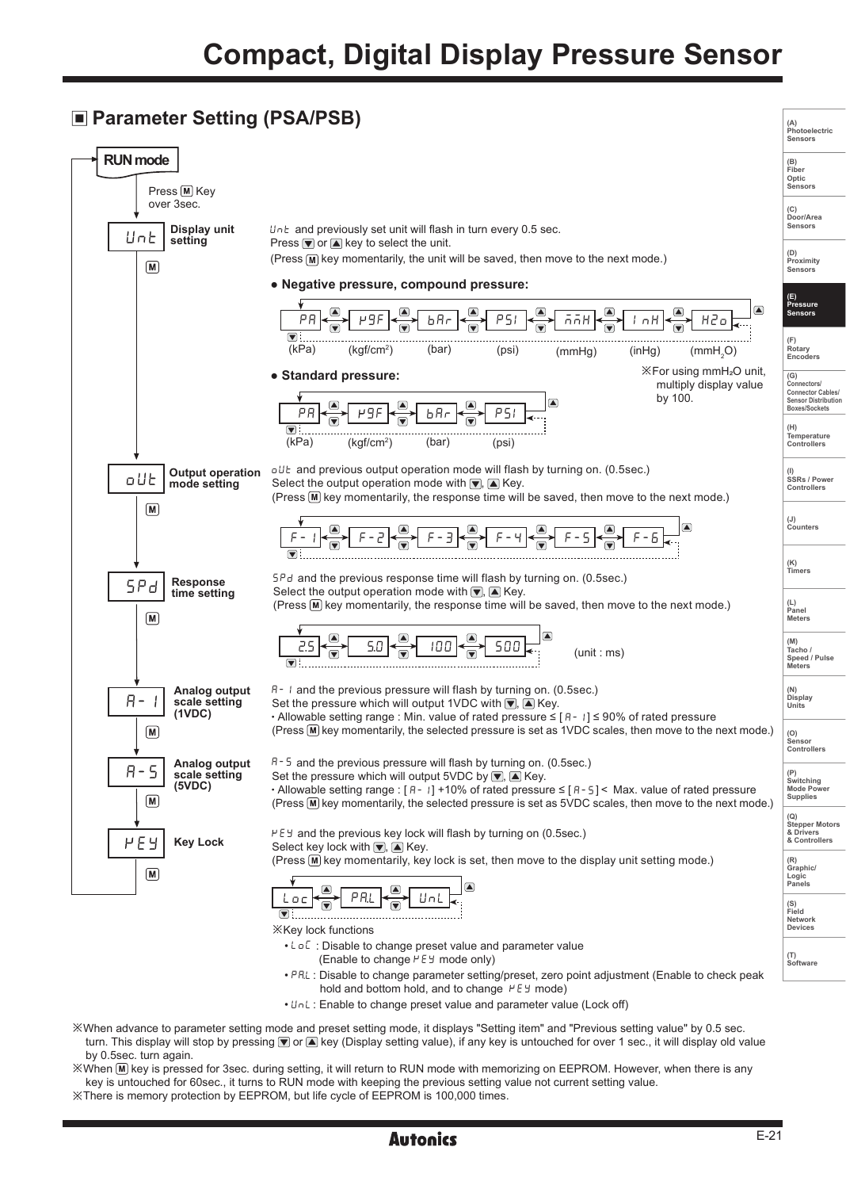### **Parameter Setting (PSA/PSB)**



turn. This display will stop by pressing  $\blacksquare$  or  $\blacksquare$  key (Display setting value), if any key is untouched for over 1 sec., it will display old value by 0.5sec. turn again.

※When key is pressed for 3sec. during setting, it will return to RUN mode with memorizing on EEPROM. However, when there is any key is untouched for 60sec., it turns to RUN mode with keeping the previous setting value not current setting value. ※There is memory protection by EEPROM, but life cycle of EEPROM is 100,000 times.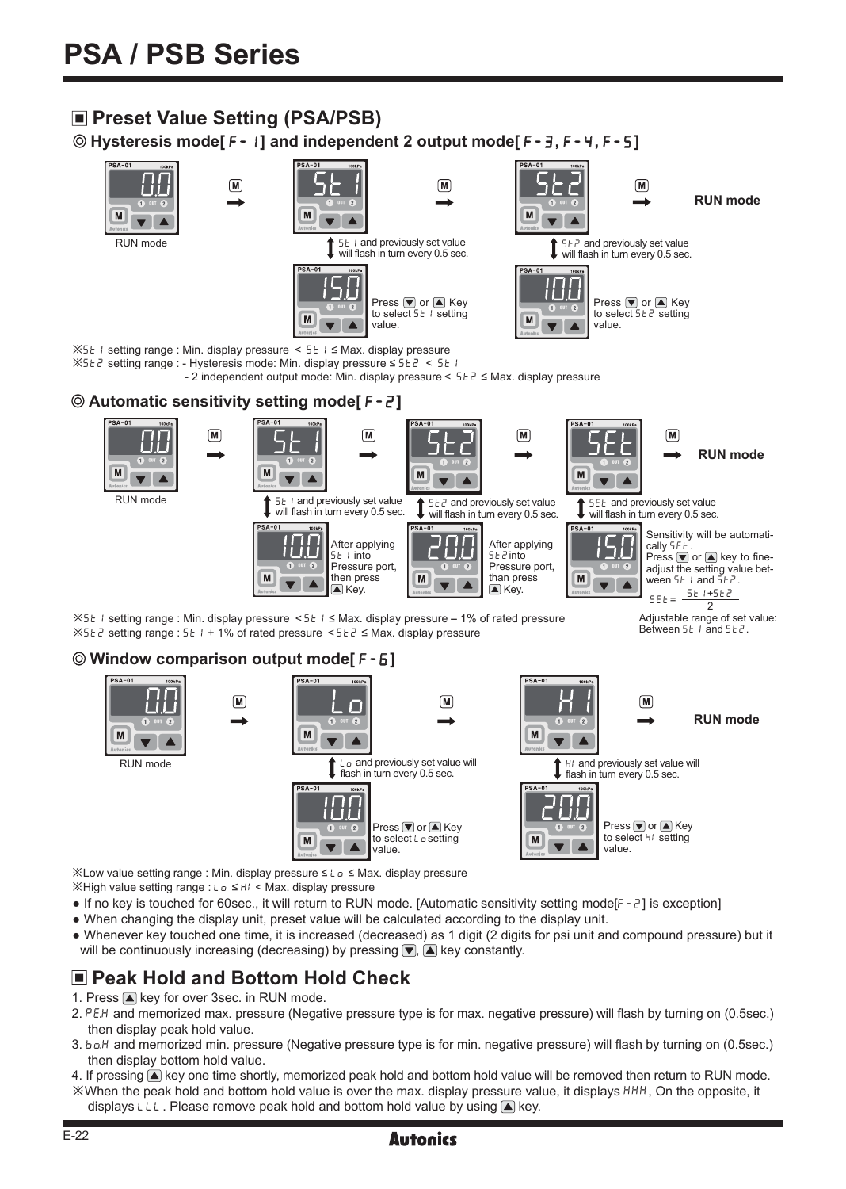### **Preset Value Setting (PSA/PSB)**

**Hysteresis mode[** F-1**] and independent 2 output mode[** F-3**,** F-4**,** F-5**]**



● When changing the display unit, preset value will be calculated according to the display unit. ● Whenever key touched one time, it is increased (decreased) as 1 digit (2 digits for psi unit and compound pressure) but it will be continuously increasing (decreasing) by pressing  $\blacksquare$ ,  $\blacksquare$  key constantly.

Press  $\nabla$  or  $\triangle$  Key to select  $L_0$  setting value.

 $L_{\Omega}$  and previously set value will flash in turn every 0.5 sec.

Press  $\overline{\blacktriangledown}$  or  $\boxed{\blacktriangle}$  Key to select H<sub>i</sub> setting value.

HI and previously set value will flash in turn every 0.5 sec.

● If no key is touched for 60sec., it will return to RUN mode. [Automatic sensitivity setting mode[F-2] is exception]

### **Peak Hold and Bottom Hold Check**

 $%$  High value setting range : L<sub>o</sub> ≤ HI < Max. display pressure

※Low value setting range : Min. display pressure ≤ Lo ≤ Max. display pressure

 $M$ 

1. Press **A** key for over 3sec. in RUN mode.

RUN mode

- 2. PeH and memorized max. pressure (Negative pressure type is for max. negative pressure) will flash by turning on (0.5sec.) then display peak hold value.
- 3. boH and memorized min. pressure (Negative pressure type is for min. negative pressure) will flash by turning on (0.5sec.) then display bottom hold value.
- 4. If pressing **A** key one time shortly, memorized peak hold and bottom hold value will be removed then return to RUN mode. ※When the peak hold and bottom hold value is over the max. display pressure value, it displays HHH, On the opposite, it
- displays LLL. Please remove peak hold and bottom hold value by using  $\Box$  key.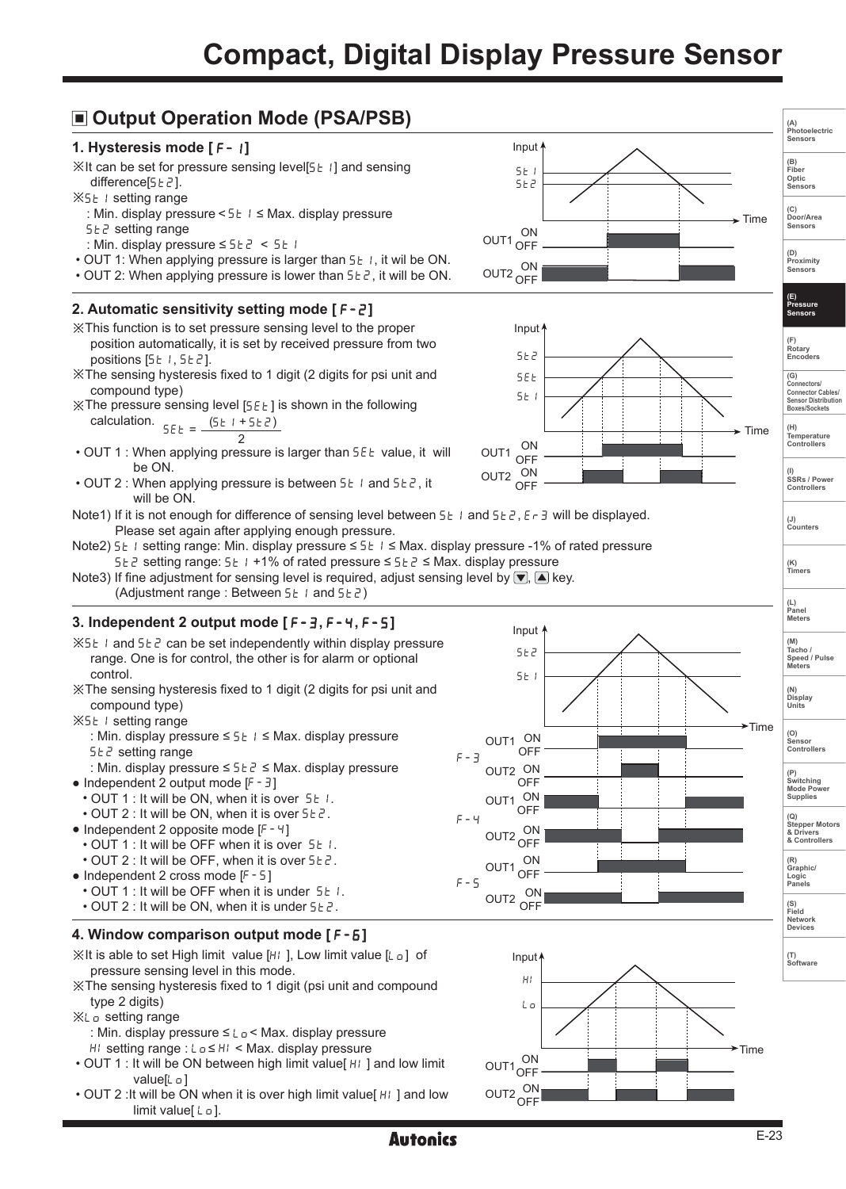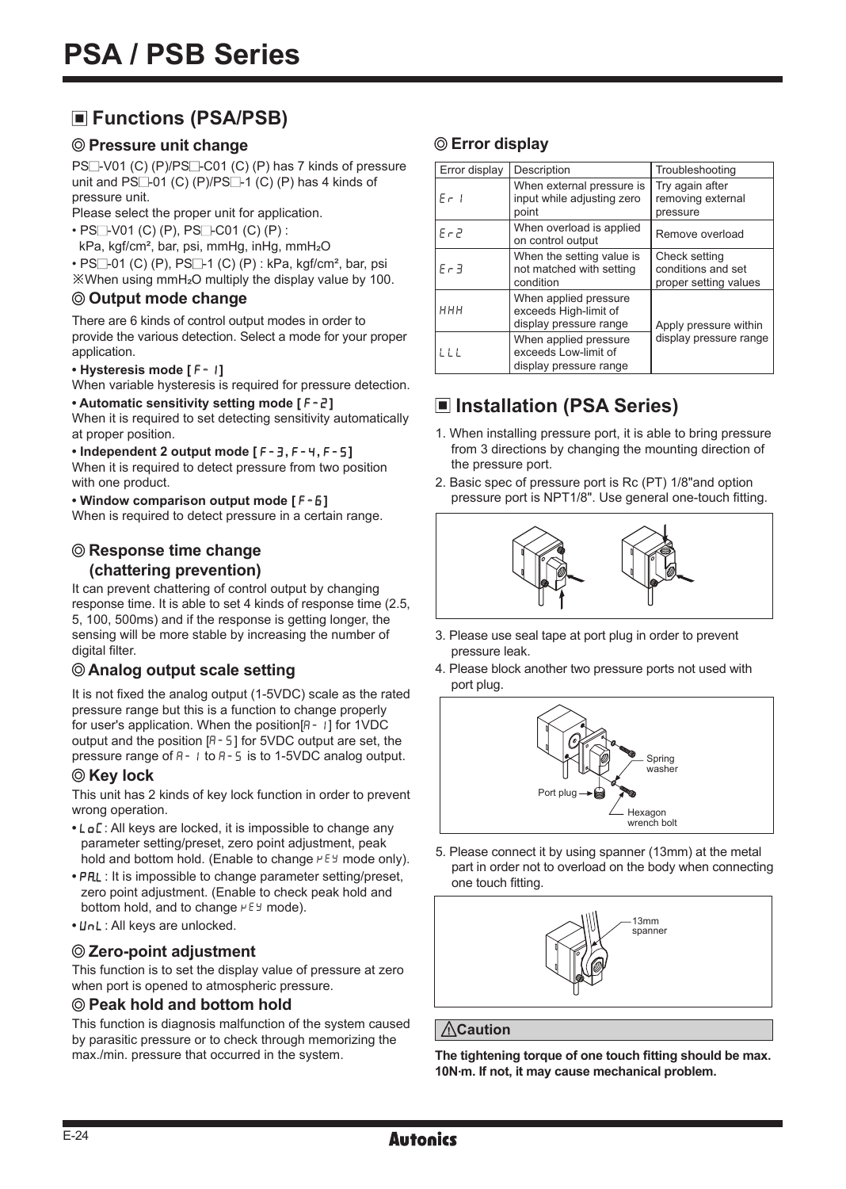### **Functions (PSA/PSB)**

### $\oslash$  **Pressure unit change Example 20 and 20 and 20 and 20 and 20 and 20 and 20 and 20 and 20 and 20 and 20 and 20 and 20 and 20 and 20 and 20 and 20 and 20 and 20 and 20 and 20 and 20 and 20 and 20 and 20 and 20 and 20**

 $PS \rightarrow V01$  (C) (P)/PS $\rightarrow$ C01 (C) (P) has 7 kinds of pressure unit and  $\overline{PS}$  -01 (C) (P)/PS  $-1$  (C) (P) has 4 kinds of pressure unit.

Please select the proper unit for application.

 $\cdot$  PS $\Box$ -V01 (C) (P), PS $\Box$ -C01 (C) (P) :

kPa, kgf/cm², bar, psi, mmHg, inHg, mmH₂O

•  $PS\_01$  (C) (P),  $PS\_1$  (C) (P) : kPa, kgf/cm<sup>2</sup>, bar, psi ※When using mmH₂O multiply the display value by 100.

#### **Output mode change**

There are 6 kinds of control output modes in order to provide the various detection. Select a mode for your proper application.

#### **• Hysteresis mode [** F-1**]**

When variable hysteresis is required for pressure detection.

#### **• Automatic sensitivity setting mode [** F-2**]**

When it is required to set detecting sensitivity automatically at proper position.

#### **• Independent 2 output mode [** F-3**,** F-4**,** F-5**]**

When it is required to detect pressure from two position with one product.

#### **• Window comparison output mode [** F-6**]**

When is required to detect pressure in a certain range.

### **Response time change (chattering prevention)**

It can prevent chattering of control output by changing response time. It is able to set 4 kinds of response time (2.5, 5, 100, 500ms) and if the response is getting longer, the sensing will be more stable by increasing the number of digital filter.

#### **Analog output scale setting**

It is not fixed the analog output (1-5VDC) scale as the rated pressure range but this is a function to change properly for user's application. When the position[A-1] for 1VDC output and the position  $[A - 5]$  for 5VDC output are set, the pressure range of A-1 to A-5 is to 1-5VDC analog output.

#### **Key lock**

This unit has 2 kinds of key lock function in order to prevent wrong operation.

- **LoC:** All keys are locked, it is impossible to change any parameter setting/preset, zero point adjustment, peak hold and bottom hold. (Enable to change  $F \in \mathcal{F}$  mode only).
- **PRL**: It is impossible to change parameter setting/preset, zero point adjustment. (Enable to check peak hold and bottom hold, and to change  $PES$  mode).
- UnL: All keys are unlocked.

#### **Zero-point adjustment**

This function is to set the display value of pressure at zero when port is opened to atmospheric pressure.

#### **Peak hold and bottom hold**

This function is diagnosis malfunction of the system caused by parasitic pressure or to check through memorizing the max./min. pressure that occurred in the system.

| Error display | Description                                                              | Troubleshooting                                              |
|---------------|--------------------------------------------------------------------------|--------------------------------------------------------------|
| Fr 1          | When external pressure is<br>input while adjusting zero<br>point         | Try again after<br>removing external<br>pressure             |
| Er 2          | When overload is applied<br>on control output                            | Remove overload                                              |
| F - R         | When the setting value is<br>not matched with setting<br>condition       | Check setting<br>conditions and set<br>proper setting values |
| ннн           | When applied pressure<br>exceeds High-limit of<br>display pressure range | Apply pressure within                                        |
| LLL           | When applied pressure<br>exceeds Low-limit of<br>display pressure range  | display pressure range                                       |

### **Installation (PSA Series)**

- 1. When installing pressure port, it is able to bring pressure from 3 directions by changing the mounting direction of the pressure port.
- 2. Basic spec of pressure port is Rc (PT) 1/8"and option pressure port is NPT1/8". Use general one-touch fitting.



- 3. Please use seal tape at port plug in order to prevent pressure leak.
- 4. Please block another two pressure ports not used with port plug.



5. Please connect it by using spanner (13mm) at the metal part in order not to overload on the body when connecting one touch fitting.



#### **Caution**

**The tightening torque of one touch fitting should be max. 10N. m. If not, it may cause mechanical problem.**